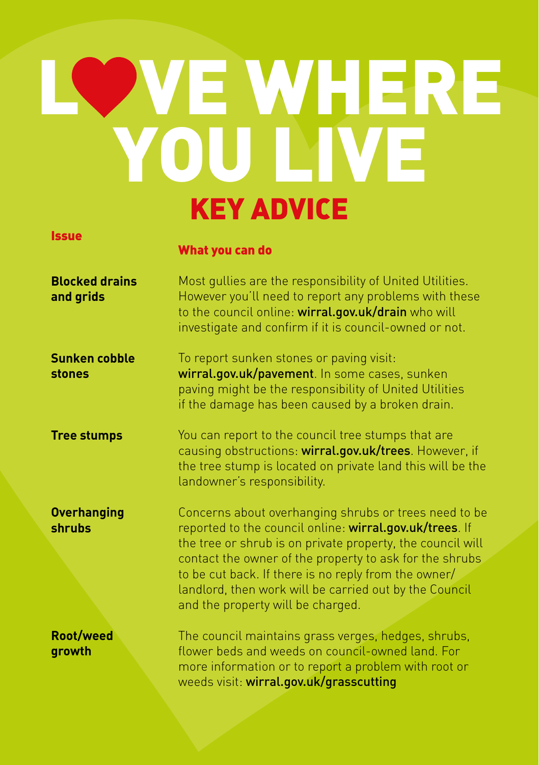## LOWE WHERE YOU LIVE KEY ADVICE

## Issue

## What you can do

| <b>Blocked drains</b><br>and grids | Most gullies are the responsibility of United Utilities.<br>However you'll need to report any problems with these<br>to the council online: wirral.gov.uk/drain who will<br>investigate and confirm if it is council-owned or not.                                                                                                                                                               |
|------------------------------------|--------------------------------------------------------------------------------------------------------------------------------------------------------------------------------------------------------------------------------------------------------------------------------------------------------------------------------------------------------------------------------------------------|
| Sunken cobble<br>stones            | To report sunken stones or paving visit:<br>wirral.gov.uk/pavement. In some cases, sunken<br>paving might be the responsibility of United Utilities<br>if the damage has been caused by a broken drain.                                                                                                                                                                                          |
| <b>Tree stumps</b>                 | You can report to the council tree stumps that are<br>causing obstructions: wirral.gov.uk/trees. However, if<br>the tree stump is located on private land this will be the<br>landowner's responsibility.                                                                                                                                                                                        |
| <b>Overhanging</b><br>shrubs       | Concerns about overhanging shrubs or trees need to be<br>reported to the council online: wirral.gov.uk/trees. If<br>the tree or shrub is on private property, the council will<br>contact the owner of the property to ask for the shrubs<br>to be cut back. If there is no reply from the owner/<br>landlord, then work will be carried out by the Council<br>and the property will be charged. |
| Root/weed<br>growth                | The council maintains grass verges, hedges, shrubs,<br>flower beds and weeds on council-owned land. For<br>more information or to report a problem with root or<br>weeds visit: wirral.gov.uk/grasscutting                                                                                                                                                                                       |
|                                    |                                                                                                                                                                                                                                                                                                                                                                                                  |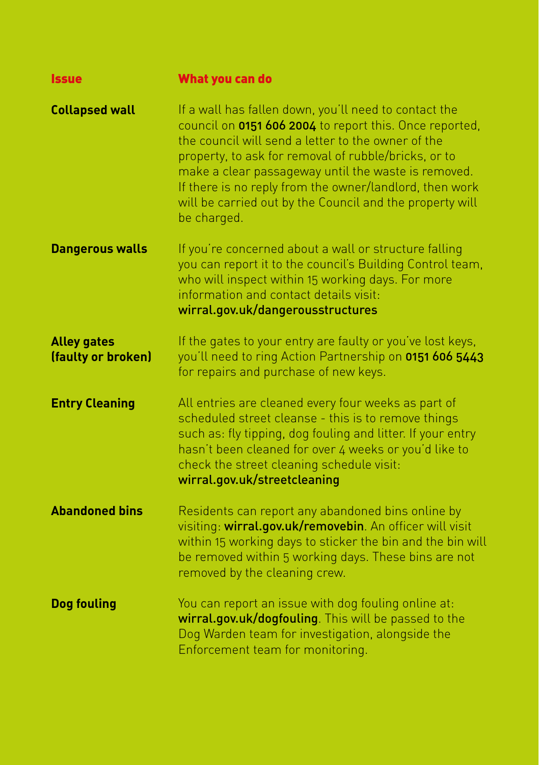| <b>Issue</b>                             | What you can do                                                                                                                                                                                                                                                                                                                                                                                                             |
|------------------------------------------|-----------------------------------------------------------------------------------------------------------------------------------------------------------------------------------------------------------------------------------------------------------------------------------------------------------------------------------------------------------------------------------------------------------------------------|
| <b>Collapsed wall</b>                    | If a wall has fallen down, you'll need to contact the<br>council on 0151 606 2004 to report this. Once reported,<br>the council will send a letter to the owner of the<br>property, to ask for removal of rubble/bricks, or to<br>make a clear passageway until the waste is removed.<br>If there is no reply from the owner/landlord, then work<br>will be carried out by the Council and the property will<br>be charged. |
| <b>Dangerous walls</b>                   | If you're concerned about a wall or structure falling<br>you can report it to the council's Building Control team,<br>who will inspect within 15 working days. For more<br>information and contact details visit:<br>wirral.gov.uk/dangerousstructures                                                                                                                                                                      |
| <b>Alley gates</b><br>(faulty or broken) | If the gates to your entry are faulty or you've lost keys,<br>you'll need to ring Action Partnership on 0151 606 5443<br>for repairs and purchase of new keys.                                                                                                                                                                                                                                                              |
| <b>Entry Cleaning</b>                    | All entries are cleaned every four weeks as part of<br>scheduled street cleanse - this is to remove things<br>such as: fly tipping, dog fouling and litter. If your entry<br>hasn't been cleaned for over 4 weeks or you'd like to<br>check the street cleaning schedule visit:<br>wirral.gov.uk/streetcleaning                                                                                                             |
| <b>Abandoned bins</b>                    | Residents can report any abandoned bins online by<br>visiting: wirral.gov.uk/removebin. An officer will visit<br>within 15 working days to sticker the bin and the bin will<br>be removed within 5 working days. These bins are not<br>removed by the cleaning crew.                                                                                                                                                        |
| <b>Dog fouling</b>                       | You can report an issue with dog fouling online at:<br>wirral.gov.uk/dogfouling. This will be passed to the<br>Dog Warden team for investigation, alongside the<br>Enforcement team for monitoring.                                                                                                                                                                                                                         |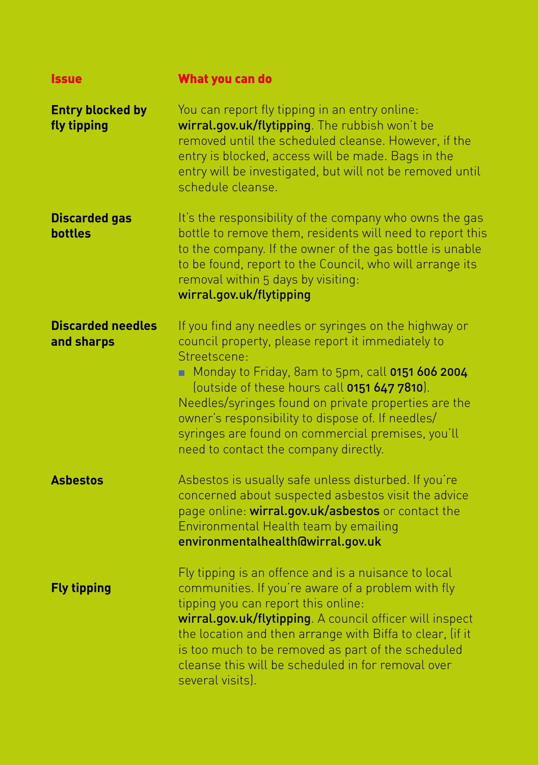| <b>Issue</b>                           | What you can do                                                                                                                                                                                                                                                                                                                                                                                                                           |
|----------------------------------------|-------------------------------------------------------------------------------------------------------------------------------------------------------------------------------------------------------------------------------------------------------------------------------------------------------------------------------------------------------------------------------------------------------------------------------------------|
| <b>Entry blocked by</b><br>fly tipping | You can report fly tipping in an entry online:<br>wirral.gov.uk/flytipping. The rubbish won't be<br>removed until the scheduled cleanse. However, if the<br>entry is blocked, access will be made. Bags in the<br>entry will be investigated, but will not be removed until<br>schedule cleanse.                                                                                                                                          |
| <b>Discarded gas</b><br><b>bottles</b> | It's the responsibility of the company who owns the gas<br>bottle to remove them, residents will need to report this<br>to the company. If the owner of the gas bottle is unable<br>to be found, report to the Council, who will arrange its<br>removal within 5 days by visiting:<br>wirral.gov.uk/flytipping                                                                                                                            |
| <b>Discarded needles</b><br>and sharps | If you find any needles or syringes on the highway or<br>council property, please report it immediately to<br>Streetscene:<br>Monday to Friday, 8am to 5pm, call 0151 606 2004<br>(outside of these hours call 0151 647 7810).<br>Needles/syringes found on private properties are the<br>owner's responsibility to dispose of. If needles/<br>syringes are found on commercial premises, you'll<br>need to contact the company directly. |
| <b>Asbestos</b>                        | Asbestos is usually safe unless disturbed. If you're<br>concerned about suspected asbestos visit the advice<br>page online: wirral.gov.uk/asbestos or contact the<br>Environmental Health team by emailing<br>environmentalhealth@wirral.gov.uk                                                                                                                                                                                           |
| <b>Fly tipping</b>                     | Fly tipping is an offence and is a nuisance to local<br>communities. If you're aware of a problem with fly<br>tipping you can report this online:<br>wirral.gov.uk/flytipping. A council officer will inspect<br>the location and then arrange with Biffa to clear, (if it<br>is too much to be removed as part of the scheduled<br>cleanse this will be scheduled in for removal over<br>several visits).                                |